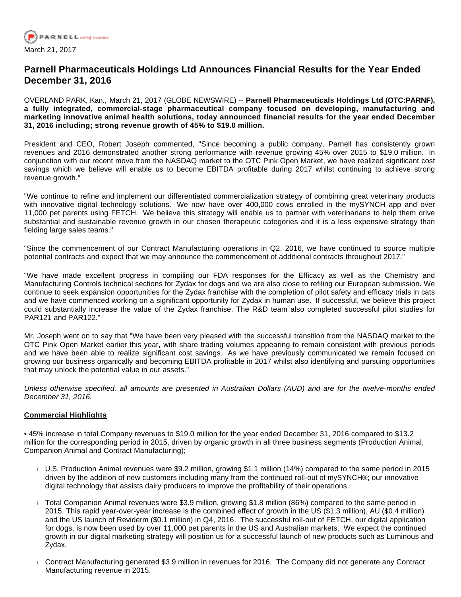

# **Parnell Pharmaceuticals Holdings Ltd Announces Financial Results for the Year Ended December 31, 2016**

OVERLAND PARK, Kan., March 21, 2017 (GLOBE NEWSWIRE) -- **Parnell Pharmaceuticals Holdings Ltd (OTC:PARNF), a fully integrated, commercial-stage pharmaceutical company focused on developing, manufacturing and marketing innovative animal health solutions, today announced financial results for the year ended December 31, 2016 including; strong revenue growth of 45% to \$19.0 million.**

President and CEO, Robert Joseph commented, "Since becoming a public company, Parnell has consistently grown revenues and 2016 demonstrated another strong performance with revenue growing 45% over 2015 to \$19.0 million. In conjunction with our recent move from the NASDAQ market to the OTC Pink Open Market, we have realized significant cost savings which we believe will enable us to become EBITDA profitable during 2017 whilst continuing to achieve strong revenue growth."

"We continue to refine and implement our differentiated commercialization strategy of combining great veterinary products with innovative digital technology solutions. We now have over 400,000 cows enrolled in the mySYNCH app and over 11,000 pet parents using FETCH. We believe this strategy will enable us to partner with veterinarians to help them drive substantial and sustainable revenue growth in our chosen therapeutic categories and it is a less expensive strategy than fielding large sales teams."

"Since the commencement of our Contract Manufacturing operations in Q2, 2016, we have continued to source multiple potential contracts and expect that we may announce the commencement of additional contracts throughout 2017."

"We have made excellent progress in compiling our FDA responses for the Efficacy as well as the Chemistry and Manufacturing Controls technical sections for Zydax for dogs and we are also close to refiling our European submission. We continue to seek expansion opportunities for the Zydax franchise with the completion of pilot safety and efficacy trials in cats and we have commenced working on a significant opportunity for Zydax in human use. If successful, we believe this project could substantially increase the value of the Zydax franchise. The R&D team also completed successful pilot studies for PAR121 and PAR122."

Mr. Joseph went on to say that "We have been very pleased with the successful transition from the NASDAQ market to the OTC Pink Open Market earlier this year, with share trading volumes appearing to remain consistent with previous periods and we have been able to realize significant cost savings. As we have previously communicated we remain focused on growing our business organically and becoming EBITDA profitable in 2017 whilst also identifying and pursuing opportunities that may unlock the potential value in our assets."

Unless otherwise specified, all amounts are presented in Australian Dollars (AUD) and are for the twelve-months ended December 31, 2016.

### **Commercial Highlights**

• 45% increase in total Company revenues to \$19.0 million for the year ended December 31, 2016 compared to \$13.2 million for the corresponding period in 2015, driven by organic growth in all three business segments (Production Animal, Companion Animal and Contract Manufacturing);

- U.S. Production Animal revenues were \$9.2 million, growing \$1.1 million (14%) compared to the same period in 2015 driven by the addition of new customers including many from the continued roll-out of mySYNCH®; our innovative digital technology that assists dairy producers to improve the profitability of their operations.
- Total Companion Animal revenues were \$3.9 million, growing \$1.8 million (86%) compared to the same period in 2015. This rapid year-over-year increase is the combined effect of growth in the US (\$1.3 million), AU (\$0.4 million) and the US launch of Reviderm (\$0.1 million) in Q4, 2016. The successful roll-out of FETCH, our digital application for dogs, is now been used by over 11,000 pet parents in the US and Australian markets. We expect the continued growth in our digital marketing strategy will position us for a successful launch of new products such as Luminous and Zydax.
- Contract Manufacturing generated \$3.9 million in revenues for 2016. The Company did not generate any Contract Manufacturing revenue in 2015.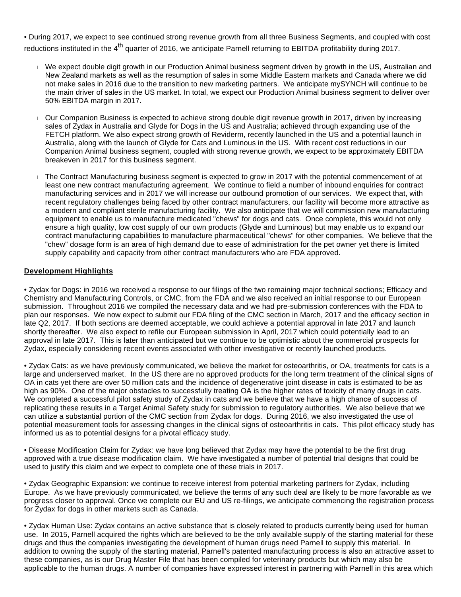• During 2017, we expect to see continued strong revenue growth from all three Business Segments, and coupled with cost reductions instituted in the 4<sup>th</sup> quarter of 2016, we anticipate Parnell returning to EBITDA profitability during 2017.

- We expect double digit growth in our Production Animal business segment driven by growth in the US, Australian and New Zealand markets as well as the resumption of sales in some Middle Eastern markets and Canada where we did not make sales in 2016 due to the transition to new marketing partners. We anticipate mySYNCH will continue to be the main driver of sales in the US market. In total, we expect our Production Animal business segment to deliver over 50% EBITDA margin in 2017.
- Our Companion Business is expected to achieve strong double digit revenue growth in 2017, driven by increasing sales of Zydax in Australia and Glyde for Dogs in the US and Australia; achieved through expanding use of the FETCH platform. We also expect strong growth of Reviderm, recently launched in the US and a potential launch in Australia, along with the launch of Glyde for Cats and Luminous in the US. With recent cost reductions in our Companion Animal business segment, coupled with strong revenue growth, we expect to be approximately EBITDA breakeven in 2017 for this business segment.
- The Contract Manufacturing business segment is expected to grow in 2017 with the potential commencement of at least one new contract manufacturing agreement. We continue to field a number of inbound enquiries for contract manufacturing services and in 2017 we will increase our outbound promotion of our services. We expect that, with recent regulatory challenges being faced by other contract manufacturers, our facility will become more attractive as a modern and compliant sterile manufacturing facility. We also anticipate that we will commission new manufacturing equipment to enable us to manufacture medicated "chews" for dogs and cats. Once complete, this would not only ensure a high quality, low cost supply of our own products (Glyde and Luminous) but may enable us to expand our contract manufacturing capabilities to manufacture pharmaceutical "chews" for other companies. We believe that the "chew" dosage form is an area of high demand due to ease of administration for the pet owner yet there is limited supply capability and capacity from other contract manufacturers who are FDA approved.

### **Development Highlights**

• Zydax for Dogs: in 2016 we received a response to our filings of the two remaining major technical sections; Efficacy and Chemistry and Manufacturing Controls, or CMC, from the FDA and we also received an initial response to our European submission. Throughout 2016 we compiled the necessary data and we had pre-submission conferences with the FDA to plan our responses. We now expect to submit our FDA filing of the CMC section in March, 2017 and the efficacy section in late Q2, 2017. If both sections are deemed acceptable, we could achieve a potential approval in late 2017 and launch shortly thereafter. We also expect to refile our European submission in April, 2017 which could potentially lead to an approval in late 2017. This is later than anticipated but we continue to be optimistic about the commercial prospects for Zydax, especially considering recent events associated with other investigative or recently launched products.

• Zydax Cats: as we have previously communicated, we believe the market for osteoarthritis, or OA, treatments for cats is a large and underserved market. In the US there are no approved products for the long term treatment of the clinical signs of OA in cats yet there are over 50 million cats and the incidence of degenerative joint disease in cats is estimated to be as high as 90%. One of the major obstacles to successfully treating OA is the higher rates of toxicity of many drugs in cats. We completed a successful pilot safety study of Zydax in cats and we believe that we have a high chance of success of replicating these results in a Target Animal Safety study for submission to regulatory authorities. We also believe that we can utilize a substantial portion of the CMC section from Zydax for dogs. During 2016, we also investigated the use of potential measurement tools for assessing changes in the clinical signs of osteoarthritis in cats. This pilot efficacy study has informed us as to potential designs for a pivotal efficacy study.

• Disease Modification Claim for Zydax: we have long believed that Zydax may have the potential to be the first drug approved with a true disease modification claim. We have investigated a number of potential trial designs that could be used to justify this claim and we expect to complete one of these trials in 2017.

• Zydax Geographic Expansion: we continue to receive interest from potential marketing partners for Zydax, including Europe. As we have previously communicated, we believe the terms of any such deal are likely to be more favorable as we progress closer to approval. Once we complete our EU and US re-filings, we anticipate commencing the registration process for Zydax for dogs in other markets such as Canada.

• Zydax Human Use: Zydax contains an active substance that is closely related to products currently being used for human use. In 2015, Parnell acquired the rights which are believed to be the only available supply of the starting material for these drugs and thus the companies investigating the development of human drugs need Parnell to supply this material. In addition to owning the supply of the starting material, Parnell's patented manufacturing process is also an attractive asset to these companies, as is our Drug Master File that has been compiled for veterinary products but which may also be applicable to the human drugs. A number of companies have expressed interest in partnering with Parnell in this area which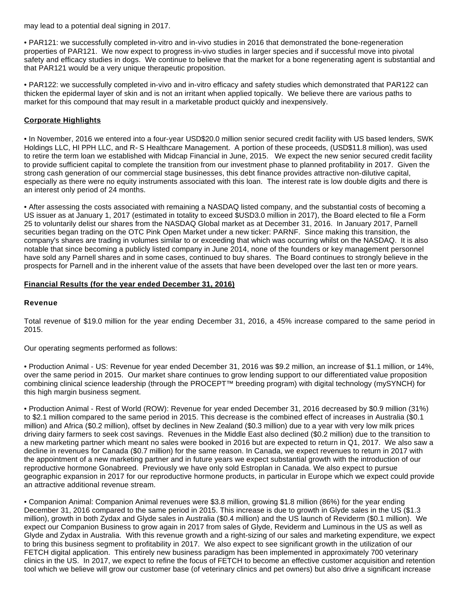may lead to a potential deal signing in 2017.

• PAR121: we successfully completed in-vitro and in-vivo studies in 2016 that demonstrated the bone-regeneration properties of PAR121. We now expect to progress in-vivo studies in larger species and if successful move into pivotal safety and efficacy studies in dogs. We continue to believe that the market for a bone regenerating agent is substantial and that PAR121 would be a very unique therapeutic proposition.

• PAR122: we successfully completed in-vivo and in-vitro efficacy and safety studies which demonstrated that PAR122 can thicken the epidermal layer of skin and is not an irritant when applied topically. We believe there are various paths to market for this compound that may result in a marketable product quickly and inexpensively.

## **Corporate Highlights**

• In November, 2016 we entered into a four-year USD\$20.0 million senior secured credit facility with US based lenders, SWK Holdings LLC, HI PPH LLC, and R-S Healthcare Management. A portion of these proceeds, (USD\$11.8 million), was used to retire the term loan we established with Midcap Financial in June, 2015. We expect the new senior secured credit facility to provide sufficient capital to complete the transition from our investment phase to planned profitability in 2017. Given the strong cash generation of our commercial stage businesses, this debt finance provides attractive non-dilutive capital, especially as there were no equity instruments associated with this loan. The interest rate is low double digits and there is an interest only period of 24 months.

• After assessing the costs associated with remaining a NASDAQ listed company, and the substantial costs of becoming a US issuer as at January 1, 2017 (estimated in totality to exceed \$USD3.0 million in 2017), the Board elected to file a Form 25 to voluntarily delist our shares from the NASDAQ Global market as at December 31, 2016. In January 2017, Parnell securities began trading on the OTC Pink Open Market under a new ticker: PARNF. Since making this transition, the company's shares are trading in volumes similar to or exceeding that which was occurring whilst on the NASDAQ. It is also notable that since becoming a publicly listed company in June 2014, none of the founders or key management personnel have sold any Parnell shares and in some cases, continued to buy shares. The Board continues to strongly believe in the prospects for Parnell and in the inherent value of the assets that have been developed over the last ten or more years.

### **Financial Results (for the year ended December 31, 2016)**

### **Revenue**

Total revenue of \$19.0 million for the year ending December 31, 2016, a 45% increase compared to the same period in 2015.

Our operating segments performed as follows:

• Production Animal - US: Revenue for year ended December 31, 2016 was \$9.2 million, an increase of \$1.1 million, or 14%, over the same period in 2015. Our market share continues to grow lending support to our differentiated value proposition combining clinical science leadership (through the PROCEPT™ breeding program) with digital technology (mySYNCH) for this high margin business segment.

• Production Animal - Rest of World (ROW): Revenue for year ended December 31, 2016 decreased by \$0.9 million (31%) to \$2.1 million compared to the same period in 2015. This decrease is the combined effect of increases in Australia (\$0.1 million) and Africa (\$0.2 million), offset by declines in New Zealand (\$0.3 million) due to a year with very low milk prices driving dairy farmers to seek cost savings. Revenues in the Middle East also declined (\$0.2 million) due to the transition to a new marketing partner which meant no sales were booked in 2016 but are expected to return in Q1, 2017. We also saw a decline in revenues for Canada (\$0.7 million) for the same reason. In Canada, we expect revenues to return in 2017 with the appointment of a new marketing partner and in future years we expect substantial growth with the introduction of our reproductive hormone Gonabreed. Previously we have only sold Estroplan in Canada. We also expect to pursue geographic expansion in 2017 for our reproductive hormone products, in particular in Europe which we expect could provide an attractive additional revenue stream.

• Companion Animal: Companion Animal revenues were \$3.8 million, growing \$1.8 million (86%) for the year ending December 31, 2016 compared to the same period in 2015. This increase is due to growth in Glyde sales in the US (\$1.3 million), growth in both Zydax and Glyde sales in Australia (\$0.4 million) and the US launch of Reviderm (\$0.1 million). We expect our Companion Business to grow again in 2017 from sales of Glyde, Reviderm and Luminous in the US as well as Glyde and Zydax in Australia. With this revenue growth and a right-sizing of our sales and marketing expenditure, we expect to bring this business segment to profitability in 2017. We also expect to see significant growth in the utilization of our FETCH digital application. This entirely new business paradigm has been implemented in approximately 700 veterinary clinics in the US. In 2017, we expect to refine the focus of FETCH to become an effective customer acquisition and retention tool which we believe will grow our customer base (of veterinary clinics and pet owners) but also drive a significant increase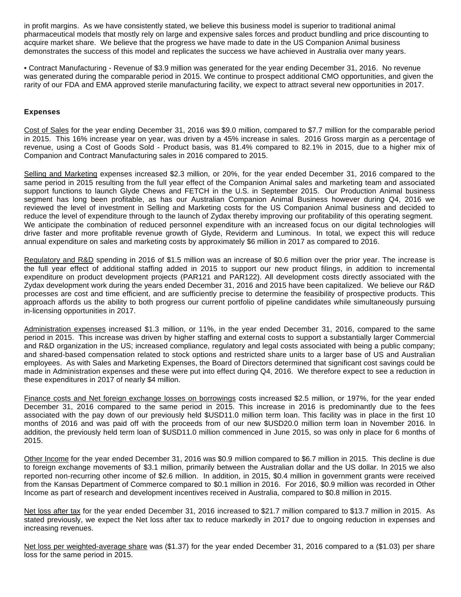in profit margins. As we have consistently stated, we believe this business model is superior to traditional animal pharmaceutical models that mostly rely on large and expensive sales forces and product bundling and price discounting to acquire market share. We believe that the progress we have made to date in the US Companion Animal business demonstrates the success of this model and replicates the success we have achieved in Australia over many years.

• Contract Manufacturing - Revenue of \$3.9 million was generated for the year ending December 31, 2016. No revenue was generated during the comparable period in 2015. We continue to prospect additional CMO opportunities, and given the rarity of our FDA and EMA approved sterile manufacturing facility, we expect to attract several new opportunities in 2017.

### **Expenses**

Cost of Sales for the year ending December 31, 2016 was \$9.0 million, compared to \$7.7 million for the comparable period in 2015. This 16% increase year on year, was driven by a 45% increase in sales. 2016 Gross margin as a percentage of revenue, using a Cost of Goods Sold - Product basis, was 81.4% compared to 82.1% in 2015, due to a higher mix of Companion and Contract Manufacturing sales in 2016 compared to 2015.

Selling and Marketing expenses increased \$2.3 million, or 20%, for the year ended December 31, 2016 compared to the same period in 2015 resulting from the full year effect of the Companion Animal sales and marketing team and associated support functions to launch Glyde Chews and FETCH in the U.S. in September 2015. Our Production Animal business segment has long been profitable, as has our Australian Companion Animal Business however during Q4, 2016 we reviewed the level of investment in Selling and Marketing costs for the US Companion Animal business and decided to reduce the level of expenditure through to the launch of Zydax thereby improving our profitability of this operating segment. We anticipate the combination of reduced personnel expenditure with an increased focus on our digital technologies will drive faster and more profitable revenue growth of Glyde, Reviderm and Luminous. In total, we expect this will reduce annual expenditure on sales and marketing costs by approximately \$6 million in 2017 as compared to 2016.

Regulatory and R&D spending in 2016 of \$1.5 million was an increase of \$0.6 million over the prior year. The increase is the full year effect of additional staffing added in 2015 to support our new product filings, in addition to incremental expenditure on product development projects (PAR121 and PAR122). All development costs directly associated with the Zydax development work during the years ended December 31, 2016 and 2015 have been capitalized. We believe our R&D processes are cost and time efficient, and are sufficiently precise to determine the feasibility of prospective products. This approach affords us the ability to both progress our current portfolio of pipeline candidates while simultaneously pursuing in-licensing opportunities in 2017.

Administration expenses increased \$1.3 million, or 11%, in the year ended December 31, 2016, compared to the same period in 2015. This increase was driven by higher staffing and external costs to support a substantially larger Commercial and R&D organization in the US; increased compliance, regulatory and legal costs associated with being a public company; and shared-based compensation related to stock options and restricted share units to a larger base of US and Australian employees. As with Sales and Marketing Expenses, the Board of Directors determined that significant cost savings could be made in Administration expenses and these were put into effect during Q4, 2016. We therefore expect to see a reduction in these expenditures in 2017 of nearly \$4 million.

Finance costs and Net foreign exchange losses on borrowings costs increased \$2.5 million, or 197%, for the year ended December 31, 2016 compared to the same period in 2015. This increase in 2016 is predominantly due to the fees associated with the pay down of our previously held \$USD11.0 million term loan. This facility was in place in the first 10 months of 2016 and was paid off with the proceeds from of our new \$USD20.0 million term loan in November 2016. In addition, the previously held term loan of \$USD11.0 million commenced in June 2015, so was only in place for 6 months of 2015.

Other Income for the year ended December 31, 2016 was \$0.9 million compared to \$6.7 million in 2015. This decline is due to foreign exchange movements of \$3.1 million, primarily between the Australian dollar and the US dollar. In 2015 we also reported non-recurring other income of \$2.6 million. In addition, in 2015, \$0.4 million in government grants were received from the Kansas Department of Commerce compared to \$0.1 million in 2016. For 2016, \$0.9 million was recorded in Other Income as part of research and development incentives received in Australia, compared to \$0.8 million in 2015.

Net loss after tax for the year ended December 31, 2016 increased to \$21.7 million compared to \$13.7 million in 2015. As stated previously, we expect the Net loss after tax to reduce markedly in 2017 due to ongoing reduction in expenses and increasing revenues.

Net loss per weighted-average share was (\$1.37) for the year ended December 31, 2016 compared to a (\$1.03) per share loss for the same period in 2015.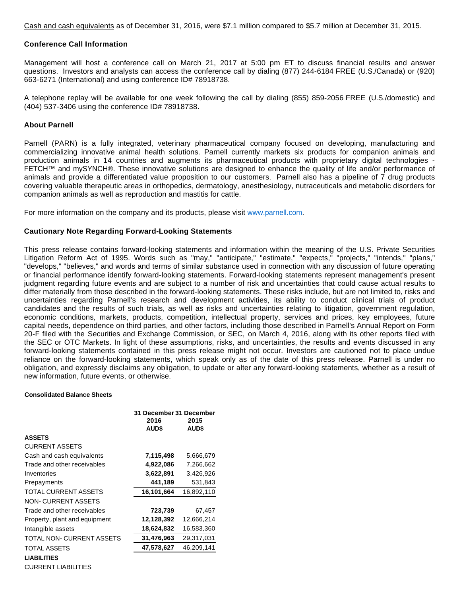Cash and cash equivalents as of December 31, 2016, were \$7.1 million compared to \$5.7 million at December 31, 2015.

### **Conference Call Information**

Management will host a conference call on March 21, 2017 at 5:00 pm ET to discuss financial results and answer questions. Investors and analysts can access the conference call by dialing (877) 244-6184 FREE (U.S./Canada) or (920) 663-6271 (International) and using conference ID# 78918738.

A telephone replay will be available for one week following the call by dialing (855) 859-2056 FREE (U.S./domestic) and (404) 537-3406 using the conference ID# 78918738.

#### **About Parnell**

Parnell (PARN) is a fully integrated, veterinary pharmaceutical company focused on developing, manufacturing and commercializing innovative animal health solutions. Parnell currently markets six products for companion animals and production animals in 14 countries and augments its pharmaceutical products with proprietary digital technologies - FETCH™ and mySYNCH®. These innovative solutions are designed to enhance the quality of life and/or performance of animals and provide a differentiated value proposition to our customers. Parnell also has a pipeline of 7 drug products covering valuable therapeutic areas in orthopedics, dermatology, anesthesiology, nutraceuticals and metabolic disorders for companion animals as well as reproduction and mastitis for cattle.

For more information on the company and its products, please visit [www.parnell.com.](http://www.parnell.com/)

#### **Cautionary Note Regarding Forward-Looking Statements**

This press release contains forward-looking statements and information within the meaning of the U.S. Private Securities Litigation Reform Act of 1995. Words such as "may," "anticipate," "estimate," "expects," "projects," "intends," "plans," "develops," "believes," and words and terms of similar substance used in connection with any discussion of future operating or financial performance identify forward-looking statements. Forward-looking statements represent management's present judgment regarding future events and are subject to a number of risk and uncertainties that could cause actual results to differ materially from those described in the forward-looking statements. These risks include, but are not limited to, risks and uncertainties regarding Parnell's research and development activities, its ability to conduct clinical trials of product candidates and the results of such trials, as well as risks and uncertainties relating to litigation, government regulation, economic conditions, markets, products, competition, intellectual property, services and prices, key employees, future capital needs, dependence on third parties, and other factors, including those described in Parnell's Annual Report on Form 20-F filed with the Securities and Exchange Commission, or SEC, on March 4, 2016, along with its other reports filed with the SEC or OTC Markets. In light of these assumptions, risks, and uncertainties, the results and events discussed in any forward-looking statements contained in this press release might not occur. Investors are cautioned not to place undue reliance on the forward-looking statements, which speak only as of the date of this press release. Parnell is under no obligation, and expressly disclaims any obligation, to update or alter any forward-looking statements, whether as a result of new information, future events, or otherwise.

#### **Consolidated Balance Sheets**

|                               | 31 December 31 December<br>2016<br><b>AUD\$</b> | 2015<br><b>AUD\$</b> |
|-------------------------------|-------------------------------------------------|----------------------|
| <b>ASSETS</b>                 |                                                 |                      |
| <b>CURRENT ASSETS</b>         |                                                 |                      |
| Cash and cash equivalents     | 7,115,498                                       | 5,666,679            |
| Trade and other receivables   | 4,922,086                                       | 7,266,662            |
| Inventories                   | 3,622,891                                       | 3,426,926            |
| Prepayments                   | 441,189                                         | 531,843              |
| TOTAL CURRENT ASSETS          | 16,101,664                                      | 16,892,110           |
| NON-CURRENT ASSETS            |                                                 |                      |
| Trade and other receivables   | 723,739                                         | 67,457               |
| Property, plant and equipment | 12,128,392                                      | 12,666,214           |
| Intangible assets             | 18,624,832                                      | 16,583,360           |
| TOTAL NON-CURRENT ASSETS      | 31,476,963                                      | 29,317,031           |
| <b>TOTAL ASSETS</b>           | 47,578,627                                      | 46,209,141           |
| <b>LIABILITIES</b>            |                                                 |                      |
| CURRENT LIABILITIES           |                                                 |                      |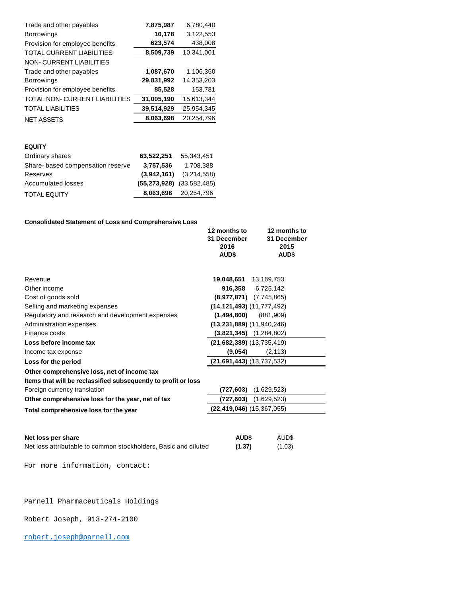| Trade and other payables         | 7,875,987  | 6,780,440  |
|----------------------------------|------------|------------|
| <b>Borrowings</b>                | 10,178     | 3,122,553  |
| Provision for employee benefits  | 623,574    | 438,008    |
| <b>TOTAL CURRENT LIABILITIES</b> | 8,509,739  | 10,341,001 |
| <b>NON-CURRENT LIABILITIES</b>   |            |            |
| Trade and other payables         | 1,087,670  | 1,106,360  |
| <b>Borrowings</b>                | 29,831,992 | 14,353,203 |
| Provision for employee benefits  | 85,528     | 153,781    |
| TOTAL NON-CURRENT LIABILITIES    | 31,005,190 | 15,613,344 |
| <b>TOTAL LIABILITIES</b>         | 39,514,929 | 25,954,345 |
| <b>NET ASSETS</b>                | 8,063,698  | 20,254,796 |

#### **EQUITY**

| 63,522,251 | 55.343.451                        |
|------------|-----------------------------------|
| 3,757,536  | 1.708.388                         |
|            | $(3,942,161)$ $(3,214,558)$       |
|            | $(55, 273, 928)$ $(33, 582, 485)$ |
| 8,063,698  | 20,254,796                        |
|            |                                   |

#### **Consolidated Statement of Loss and Comprehensive Loss**

|                                                                 | 12 months to<br>31 December<br>2016<br>AUD\$ |             | 12 months to<br>31 December<br>2015<br><b>AUD\$</b> |
|-----------------------------------------------------------------|----------------------------------------------|-------------|-----------------------------------------------------|
|                                                                 |                                              |             |                                                     |
| Revenue                                                         | 19,048,651                                   | 13,169,753  |                                                     |
| Other income                                                    | 916,358 6,725,142                            |             |                                                     |
| Cost of goods sold                                              | $(8,977,871)$ $(7,745,865)$                  |             |                                                     |
| Selling and marketing expenses                                  | $(14, 121, 493)$ $(11, 777, 492)$            |             |                                                     |
| Regulatory and research and development expenses                | (1,494,800)                                  | (881,909)   |                                                     |
| Administration expenses                                         | $(13,231,889)$ $(11,940,246)$                |             |                                                     |
| Finance costs                                                   | $(3,821,345)$ $(1,284,802)$                  |             |                                                     |
| Loss before income tax                                          | $(21,682,389)$ $(13,735,419)$                |             |                                                     |
| Income tax expense                                              | (9,054)                                      |             | (2, 113)                                            |
| Loss for the period                                             | $(21,691,443)$ $(13,737,532)$                |             |                                                     |
| Other comprehensive loss, net of income tax                     |                                              |             |                                                     |
| Items that will be reclassified subsequently to profit or loss  |                                              |             |                                                     |
| Foreign currency translation                                    | (727,603)                                    | (1,629,523) |                                                     |
| Other comprehensive loss for the year, net of tax               | (727,603)                                    | (1,629,523) |                                                     |
| Total comprehensive loss for the year                           | $(22,419,046)$ $(15,367,055)$                |             |                                                     |
| Net loss per share                                              | <b>AUD\$</b>                                 |             | AUD\$                                               |
| Net less attributable to common stockholders. Pesig and diluted | <b>14.97\</b>                                |             | (1.02)                                              |

Net loss attributable to common stockholders, Basic and diluted **(1.37)** (1.03)

For more information, contact:

### Parnell Pharmaceuticals Holdings

Robert Joseph, 913-274-2100

#### [robert.joseph@parnell.com](mailto:robert.joseph@parnell.com)